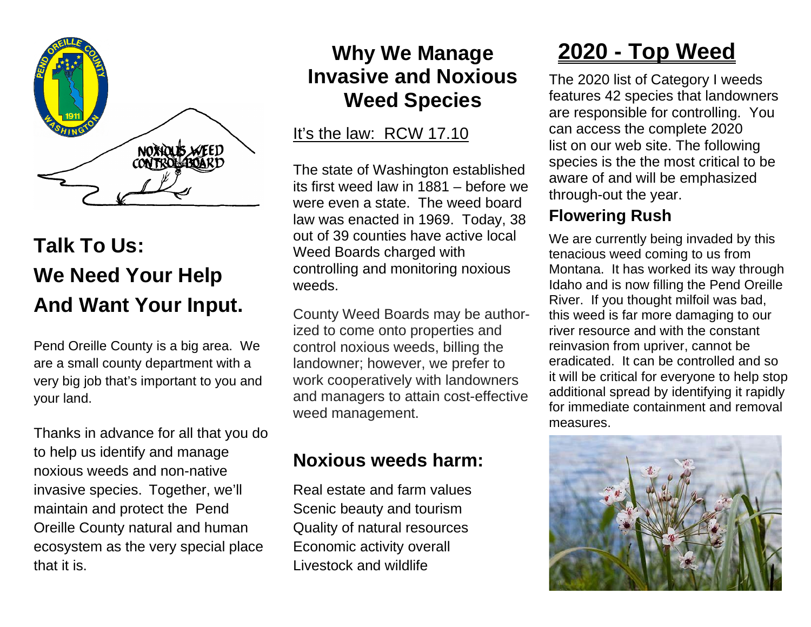

## **Talk To Us: We Need Your Help And Want Your Input.**

Pend Oreille County is a big area. We are a small county department with a very big job that's important to you and your land.

Thanks in advance for all that you do to help us identify and manage noxious weeds and non-native invasive species. Together, we'll maintain and protect the Pend Oreille County natural and human ecosystem as the very special place that it is.

### **Why We Manage Invasive and Noxious Weed Species**

#### It's the law: RCW 17.10

The state of Washington established its first weed law in 1881 – before we were even a state. The weed board law was enacted in 1969. Today, 38 out of 39 counties have active local Weed Boards charged with controlling and monitoring noxious weeds.

County Weed Boards may be authorized to come onto properties and control noxious weeds, billing the landowner; however, we prefer to work cooperatively with landowners and managers to attain cost-effective weed management.

### **Noxious weeds harm:**

Real estate and farm values Scenic beauty and tourism Quality of natural resources Economic activity overall Livestock and wildlife

## **2020 - Top Weed**

The 2020 list of Category I weeds features 42 species that landowners are responsible for controlling. You can access the complete 2020 list on our web site. The following species is the the most critical to be aware of and will be emphasized through-out the year.

#### **Flowering Rush**

We are currently being invaded by this tenacious weed coming to us from Montana. It has worked its way through Idaho and is now filling the Pend Oreille River. If you thought milfoil was bad, this weed is far more damaging to our river resource and with the constant reinvasion from upriver, cannot be eradicated. It can be controlled and so it will be critical for everyone to help stop additional spread by identifying it rapidly for immediate containment and removal measures.